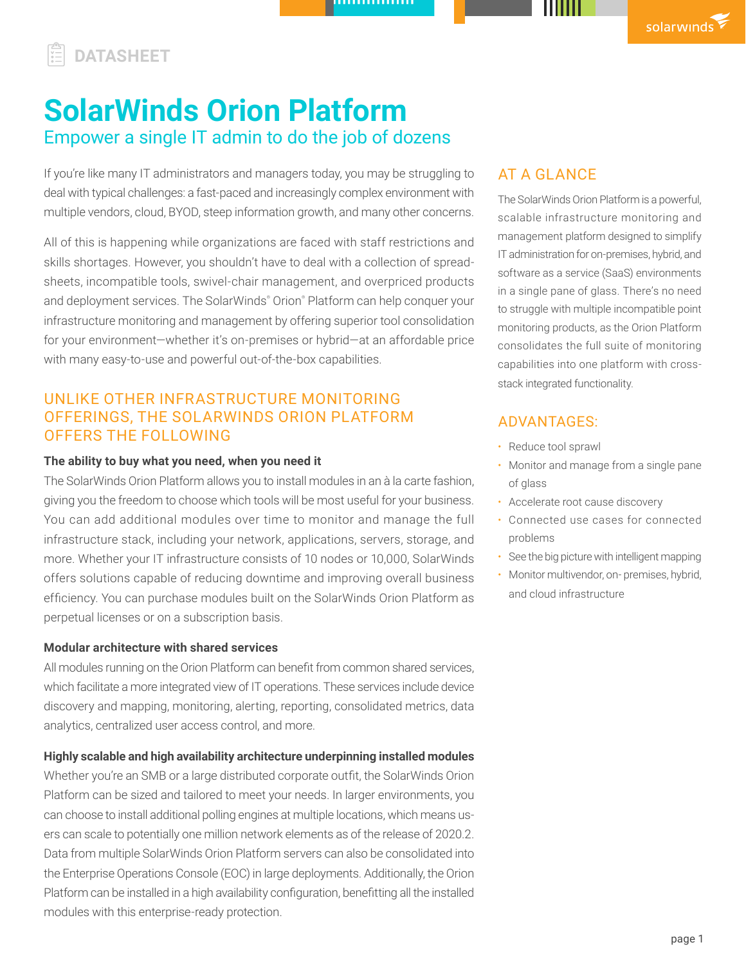## **DATASHEET**

# **SolarWinds Orion Platform** Empower a single IT admin to do the job of dozens

If you're like many IT administrators and managers today, you may be struggling to deal with typical challenges: a fast-paced and increasingly complex environment with multiple vendors, cloud, BYOD, steep information growth, and many other concerns.

All of this is happening while organizations are faced with staff restrictions and skills shortages. However, you shouldn't have to deal with a collection of spreadsheets, incompatible tools, swivel-chair management, and overpriced products and deployment services. The SolarWinds® Orion® Platform can help conquer your infrastructure monitoring and management by offering superior tool consolidation for your environment—whether it's on-premises or hybrid—at an affordable price with many easy-to-use and powerful out-of-the-box capabilities.

## UNLIKE OTHER INFRASTRUCTURE MONITORING OFFERINGS, THE SOLARWINDS ORION PLATFORM OFFERS THE FOLLOWING

## **The ability to buy what you need, when you need it**

The SolarWinds Orion Platform allows you to install modules in an à la carte fashion, giving you the freedom to choose which tools will be most useful for your business. You can add additional modules over time to monitor and manage the full infrastructure stack, including your network, applications, servers, storage, and more. Whether your IT infrastructure consists of 10 nodes or 10,000, SolarWinds offers solutions capable of reducing downtime and improving overall business efficiency. You can purchase modules built on the SolarWinds Orion Platform as perpetual licenses or on a subscription basis.

#### **Modular architecture with shared services**

All modules running on the Orion Platform can benefit from common shared services, which facilitate a more integrated view of IT operations. These services include device discovery and mapping, monitoring, alerting, reporting, consolidated metrics, data analytics, centralized user access control, and more.

## **Highly scalable and high availability architecture underpinning installed modules**

Whether you're an SMB or a large distributed corporate outfit, the SolarWinds Orion Platform can be sized and tailored to meet your needs. In larger environments, you can choose to install additional polling engines at multiple locations, which means users can scale to potentially one million network elements as of the release of 2020.2. Data from multiple SolarWinds Orion Platform servers can also be consolidated into the Enterprise Operations Console (EOC) in large deployments. Additionally, the Orion Platform can be installed in a high availability configuration, benefitting all the installed modules with this enterprise-ready protection.

## AT A GLANCE

The SolarWinds Orion Platform is a powerful, scalable infrastructure monitoring and management platform designed to simplify IT administration for on-premises, hybrid, and software as a service (SaaS) environments in a single pane of glass. There's no need to struggle with multiple incompatible point monitoring products, as the Orion Platform consolidates the full suite of monitoring capabilities into one platform with crossstack integrated functionality.

## ADVANTAGES:

- Reduce tool sprawl
- Monitor and manage from a single pane of glass
- Accelerate root cause discovery
- Connected use cases for connected problems
- See the big picture with intelligent mapping
- Monitor multivendor, on- premises, hybrid, and cloud infrastructure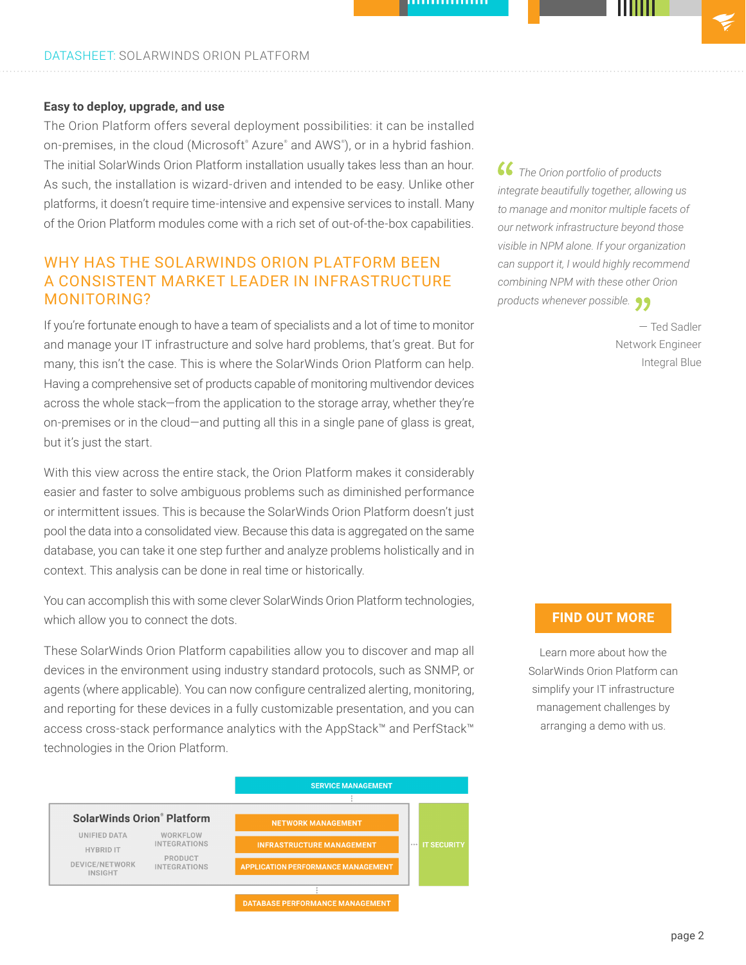## **Easy to deploy, upgrade, and use**

The Orion Platform offers several deployment possibilities: it can be installed on-premises, in the cloud (Microsoft® Azure® and AWS® ), or in a hybrid fashion. The initial SolarWinds Orion Platform installation usually takes less than an hour. As such, the installation is wizard-driven and intended to be easy. Unlike other platforms, it doesn't require time-intensive and expensive services to install. Many of the Orion Platform modules come with a rich set of out-of-the-box capabilities.

## WHY HAS THE SOLARWINDS ORION PLATFORM BEEN A CONSISTENT MARKET LEADER IN INFRASTRUCTURE MONITORING?

If you're fortunate enough to have a team of specialists and a lot of time to monitor and manage your IT infrastructure and solve hard problems, that's great. But for many, this isn't the case. This is where the SolarWinds Orion Platform can help. Having a comprehensive set of products capable of monitoring multivendor devices across the whole stack—from the application to the storage array, whether they're on-premises or in the cloud—and putting all this in a single pane of glass is great, but it's just the start.

With this view across the entire stack, the Orion Platform makes it considerably easier and faster to solve ambiguous problems such as diminished performance or intermittent issues. This is because the SolarWinds Orion Platform doesn't just pool the data into a consolidated view. Because this data is aggregated on the same database, you can take it one step further and analyze problems holistically and in context. This analysis can be done in real time or historically.

You can accomplish this with some clever SolarWinds Orion Platform technologies, which allow you to connect the dots.

These SolarWinds Orion Platform capabilities allow you to discover and map all devices in the environment using industry standard protocols, such as SNMP, or agents (where applicable). You can now configure centralized alerting, monitoring, and reporting for these devices in a fully customizable presentation, and you can access cross-stack performance analytics with the AppStack™ and PerfStack™ technologies in the Orion Platform.



*The Orion portfolio of products integrate beautifully together, allowing us to manage and monitor multiple facets of our network infrastructure beyond those visible in NPM alone. If your organization can support it, I would highly recommend combining NPM with these other Orion products whenever possible.*

> — Ted Sadler Network Engineer Integral Blue

## **[FIND OUT MORE](http://https://www.solarwinds.com/personalized-demo-registration)**

Learn more about how the SolarWinds Orion Platform can simplify your IT infrastructure management challenges by arranging a demo with us.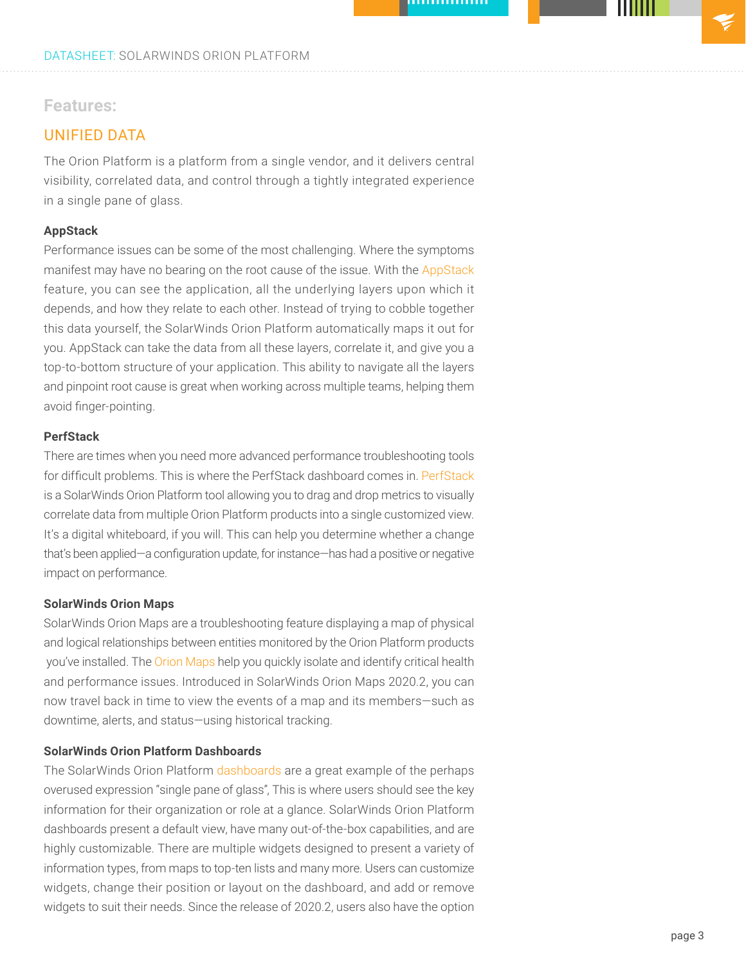## **Features:**

## UNIFIED DATA

The Orion Platform is a platform from a single vendor, and it delivers central visibility, correlated data, and control through a tightly integrated experience in a single pane of glass.

## **AppStack**

Performance issues can be some of the most challenging. Where the symptoms manifest may have no bearing on the root cause of the issue. With the [AppStack](https://www.solarwinds.com/topics/appstack) feature, you can see the application, all the underlying layers upon which it depends, and how they relate to each other. Instead of trying to cobble together this data yourself, the SolarWinds Orion Platform automatically maps it out for you. AppStack can take the data from all these layers, correlate it, and give you a top-to-bottom structure of your application. This ability to navigate all the layers and pinpoint root cause is great when working across multiple teams, helping them avoid finger-pointing.

## **PerfStack**

There are times when you need more advanced performance troubleshooting tools for difficult problems. This is where the PerfStack dashboard comes in. [PerfStack](https://www.solarwinds.com/perfstack) is a SolarWinds Orion Platform tool allowing you to drag and drop metrics to visually correlate data from multiple Orion Platform products into a single customized view. It's a digital whiteboard, if you will. This can help you determine whether a change that's been applied—a configuration update, for instance—has had a positive or negative impact on performance.

## **SolarWinds Orion Maps**

SolarWinds Orion Maps are a troubleshooting feature displaying a map of physical and logical relationships between entities monitored by the Orion Platform products you've installed. The [Orion Maps](https://www.solarwinds.com/orion-platform/use-cases/orion-maps) help you quickly isolate and identify critical health and performance issues. Introduced in SolarWinds Orion Maps 2020.2, you can now travel back in time to view the events of a map and its members—such as downtime, alerts, and status—using historical tracking.

## **SolarWinds Orion Platform Dashboards**

The SolarWinds Orion Platform [dashboards](https://documentation.solarwinds.com/en/Success_Center/orionplatform/Content/Core-Customizing-Web-Console-Menu-Bars-sw1382.htm) are a great example of the perhaps overused expression "single pane of glass", This is where users should see the key information for their organization or role at a glance. SolarWinds Orion Platform dashboards present a default view, have many out-of-the-box capabilities, and are highly customizable. There are multiple widgets designed to present a variety of information types, from maps to top-ten lists and many more. Users can customize widgets, change their position or layout on the dashboard, and add or remove widgets to suit their needs. Since the release of 2020.2, users also have the option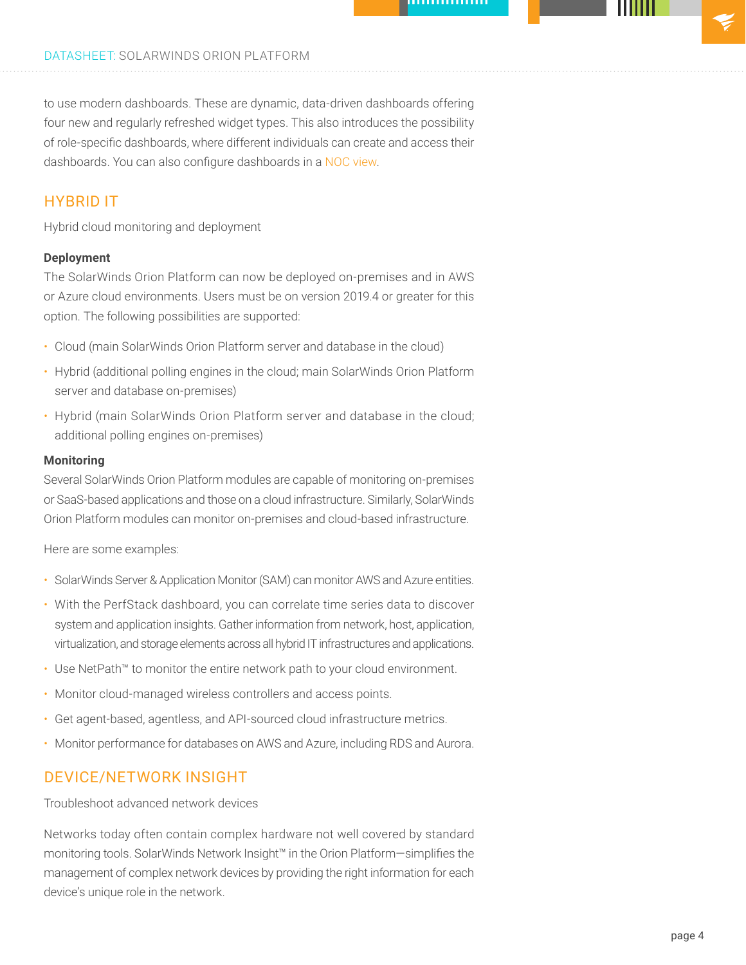to use modern dashboards. These are dynamic, data-driven dashboards offering four new and regularly refreshed widget types. This also introduces the possibility of role-specific dashboards, where different individuals can create and access their dashboards. You can also configure dashboards in a [NOC view](https://support.solarwinds.com/SuccessCenter/s/article/Create-a-NOC-View-Video?language=en_US).

## HYBRID IT

Hybrid cloud monitoring and deployment

## **Deployment**

The SolarWinds Orion Platform can now be deployed on-premises and in AWS or Azure cloud environments. Users must be on version 2019.4 or greater for this option. The following possibilities are supported:

- Cloud (main SolarWinds Orion Platform server and database in the cloud)
- Hybrid (additional polling engines in the cloud; main SolarWinds Orion Platform server and database on-premises)
- Hybrid (main SolarWinds Orion Platform server and database in the cloud; additional polling engines on-premises)

#### **Monitoring**

Several SolarWinds Orion Platform modules are capable of monitoring on-premises or SaaS-based applications and those on a cloud infrastructure. Similarly, SolarWinds Orion Platform modules can monitor on-premises and cloud-based infrastructure.

Here are some examples:

- SolarWinds Server & Application Monitor (SAM) can monitor AWS and Azure entities.
- With the PerfStack dashboard, you can correlate time series data to discover system and application insights. Gather information from network, host, application, virtualization, and storage elements across all hybrid IT infrastructures and applications.
- Use NetPath™ to monitor the entire network path to your cloud environment.
- Monitor cloud-managed wireless controllers and access points.
- Get agent-based, agentless, and API-sourced cloud infrastructure metrics.
- Monitor performance for databases on AWS and Azure, including RDS and Aurora.

## DEVICE/NETWORK INSIGHT

Troubleshoot advanced network devices

Networks today often contain complex hardware not well covered by standard monitoring tools. SolarWinds Network Insight™ in the Orion Platform—simplifies the management of complex network devices by providing the right information for each device's unique role in the network.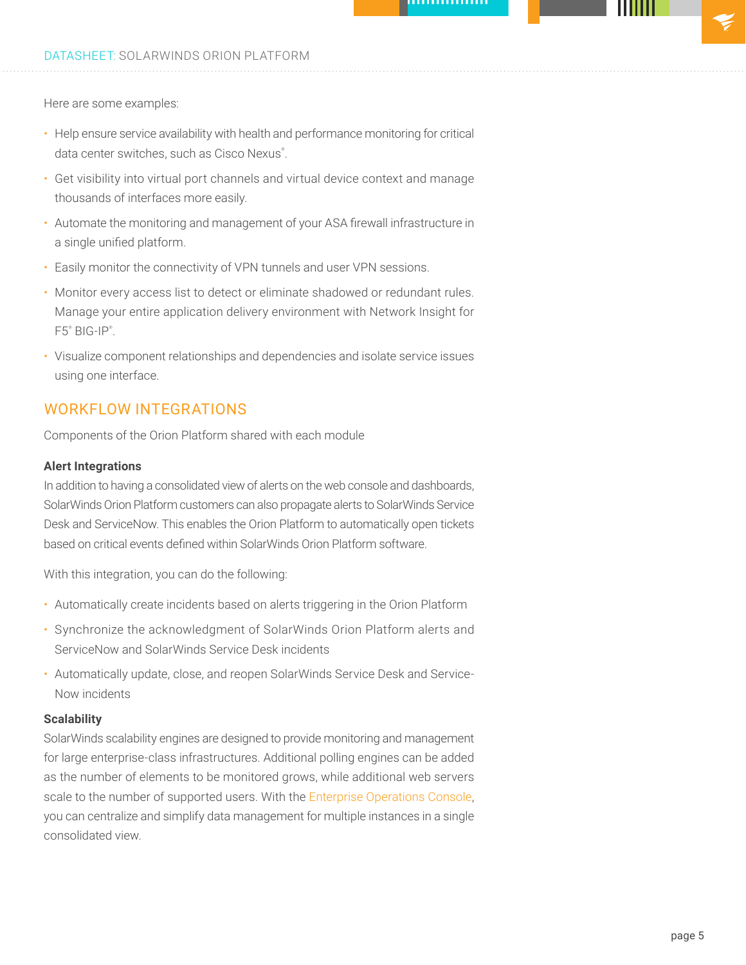Here are some examples:

- Help ensure service availability with health and performance monitoring for critical data center switches, such as Cisco Nexus®.
- Get visibility into virtual port channels and virtual device context and manage thousands of interfaces more easily.
- Automate the monitoring and management of your ASA firewall infrastructure in a single unified platform.
- Easily monitor the connectivity of VPN tunnels and user VPN sessions.
- Monitor every access list to detect or eliminate shadowed or redundant rules. Manage your entire application delivery environment with Network Insight for F5® BIG-IP® .
- Visualize component relationships and dependencies and isolate service issues using one interface.

## WORKFLOW INTEGRATIONS

Components of the Orion Platform shared with each module

#### **Alert Integrations**

In addition to having a consolidated view of alerts on the web console and dashboards, SolarWinds Orion Platform customers can also propagate alerts to SolarWinds Service Desk and ServiceNow. This enables the Orion Platform to automatically open tickets based on critical events defined within SolarWinds Orion Platform software.

With this integration, you can do the following:

- Automatically create incidents based on alerts triggering in the Orion Platform
- Synchronize the acknowledgment of SolarWinds Orion Platform alerts and ServiceNow and SolarWinds Service Desk incidents
- Automatically update, close, and reopen SolarWinds Service Desk and Service-Now incidents

#### **Scalability**

SolarWinds scalability engines are designed to provide monitoring and management for large enterprise-class infrastructures. Additional polling engines can be added as the number of elements to be monitored grows, while additional web servers scale to the number of supported users. With the [Enterprise Operations Console](https://www.solarwinds.com/enterprise-operations-console), you can centralize and simplify data management for multiple instances in a single consolidated view.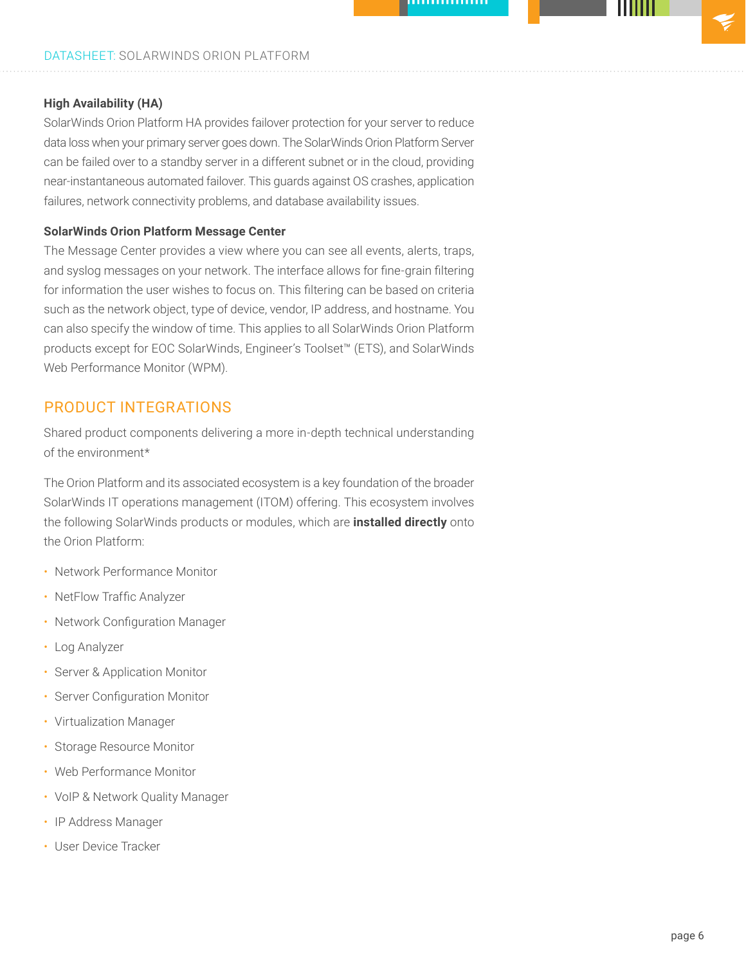## DATASHEET: SOLARWINDS ORION PLATFORM

## **High Availability (HA)**

SolarWinds Orion Platform HA provides failover protection for your server to reduce data loss when your primary server goes down. The SolarWinds Orion Platform Server can be failed over to a standby server in a different subnet or in the cloud, providing near-instantaneous automated failover. This guards against OS crashes, application failures, network connectivity problems, and database availability issues.

#### **SolarWinds Orion Platform Message Center**

The Message Center provides a view where you can see all events, alerts, traps, and syslog messages on your network. The interface allows for fine-grain filtering for information the user wishes to focus on. This filtering can be based on criteria such as the network object, type of device, vendor, IP address, and hostname. You can also specify the window of time. This applies to all SolarWinds Orion Platform products except for EOC SolarWinds, Engineer's Toolset™ (ETS), and SolarWinds Web Performance Monitor (WPM).

## PRODUCT INTEGRATIONS

Shared product components delivering a more in-depth technical understanding of the environment\*

The Orion Platform and its associated ecosystem is a key foundation of the broader SolarWinds IT operations management (ITOM) offering. This ecosystem involves the following SolarWinds products or modules, which are **installed directly** onto the Orion Platform:

- Network Performance Monitor
- NetFlow Traffic Analyzer
- Network Configuration Manager
- Log Analyzer
- Server & Application Monitor
- Server Configuration Monitor
- Virtualization Manager
- Storage Resource Monitor
- Web Performance Monitor
- VoIP & Network Quality Manager
- IP Address Manager
- User Device Tracker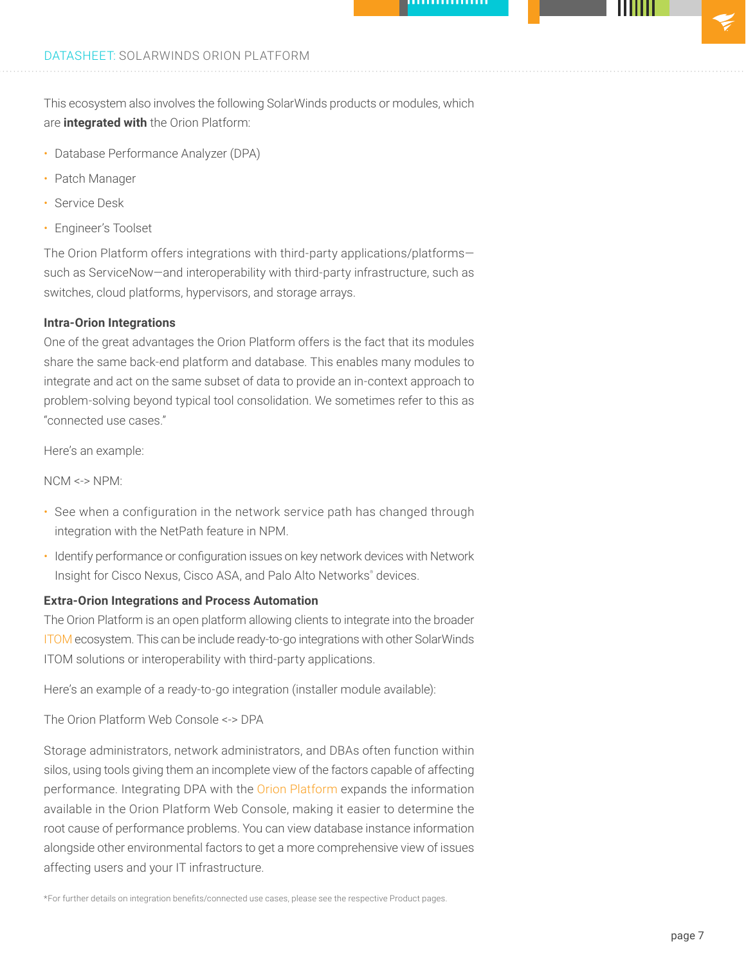This ecosystem also involves the following SolarWinds products or modules, which are **integrated with** the Orion Platform:

- Database Performance Analyzer (DPA)
- Patch Manager
- Service Desk
- Engineer's Toolset

The Orion Platform offers integrations with third-party applications/platforms such as ServiceNow—and interoperability with third-party infrastructure, such as switches, cloud platforms, hypervisors, and storage arrays.

## **Intra-Orion Integrations**

One of the great advantages the Orion Platform offers is the fact that its modules share the same back-end platform and database. This enables many modules to integrate and act on the same subset of data to provide an in-context approach to problem-solving beyond typical tool consolidation. We sometimes refer to this as "connected use cases."

Here's an example:

NCM <-> NPM:

- See when a configuration in the network service path has changed through integration with the NetPath feature in NPM.
- Identify performance or configuration issues on key network devices with Network Insight for Cisco Nexus, Cisco ASA, and Palo Alto Networks® devices.

#### **Extra-Orion Integrations and Process Automation**

The Orion Platform is an open platform allowing clients to integrate into the broader [ITOM](https://www.solarwinds.com/solutions/it-operations-management-solutions) ecosystem. This can be include ready-to-go integrations with other SolarWinds ITOM solutions or interoperability with third-party applications.

Here's an example of a ready-to-go integration (installer module available):

The Orion Platform Web Console <-> DPA

Storage administrators, network administrators, and DBAs often function within silos, using tools giving them an incomplete view of the factors capable of affecting performance. Integrating DPA with the [Orion Platform](https://www.solarwinds.com/solutions/orion) expands the information available in the Orion Platform Web Console, making it easier to determine the root cause of performance problems. You can view database instance information alongside other environmental factors to get a more comprehensive view of issues affecting users and your IT infrastructure.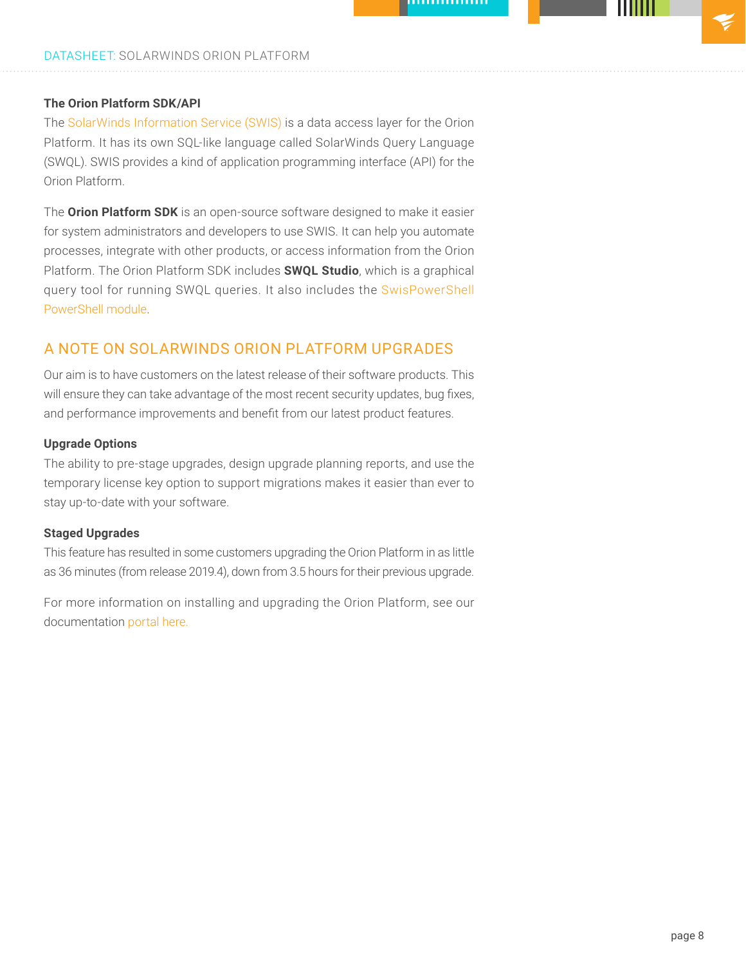## **The Orion Platform SDK/API**

The [SolarWinds Information Service \(SWIS\)](https://github.com/solarwinds/OrionSDK/wiki/About-SWIS) is a data access layer for the Orion Platform. It has its own SQL-like language called SolarWinds Query Language (SWQL). SWIS provides a kind of application programming interface (API) for the Orion Platform.

The **Orion Platform SDK** is an open-source software designed to make it easier for system administrators and developers to use SWIS. It can help you automate processes, integrate with other products, or access information from the Orion Platform. The Orion Platform SDK includes **SWQL Studio**, which is a graphical query tool for running SWQL queries. It also includes the [SwisPowerShell](https://github.com/solarwinds/OrionSDK/wiki/PowerShell) [PowerShell module.](https://github.com/solarwinds/OrionSDK/wiki/PowerShell)

## A NOTE ON SOLARWINDS ORION PLATFORM UPGRADES

Our aim is to have customers on the latest release of their software products. This will ensure they can take advantage of the most recent security updates, bug fixes, and performance improvements and benefit from our latest product features.

#### **Upgrade Options**

The ability to pre-stage upgrades, design upgrade planning reports, and use the temporary license key option to support migrations makes it easier than ever to stay up-to-date with your software.

#### **Staged Upgrades**

This feature has resulted in some customers upgrading the Orion Platform in as little as 36 minutes (from release 2019.4), down from 3.5 hours for their previous upgrade.

For more information on installing and upgrading the Orion Platform, see our documentation [portal here.](https://support.solarwinds.com/upgrade-resource-center)